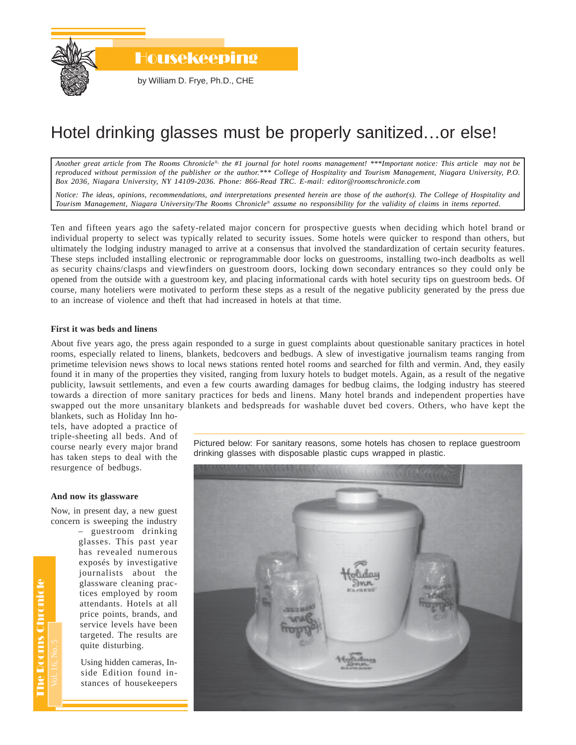

# Hotel drinking glasses must be properly sanitized…or else!

*Another great article from The Rooms Chronicle*®*, the #1 journal for hotel rooms management! \*\*\*Important notice: This article may not be reproduced without permission of the publisher or the author.\*\*\* College of Hospitality and Tourism Management, Niagara University, P.O. Box 2036, Niagara University, NY 14109-2036. Phone: 866-Read TRC. E-mail: editor@roomschronicle.com*

*Notice: The ideas, opinions, recommendations, and interpretations presented herein are those of the author(s). The College of Hospitality and Tourism Management, Niagara University/The Rooms Chronicle*® *assume no responsibility for the validity of claims in items reported.*

Ten and fifteen years ago the safety-related major concern for prospective guests when deciding which hotel brand or individual property to select was typically related to security issues. Some hotels were quicker to respond than others, but ultimately the lodging industry managed to arrive at a consensus that involved the standardization of certain security features. These steps included installing electronic or reprogrammable door locks on guestrooms, installing two-inch deadbolts as well as security chains/clasps and viewfinders on guestroom doors, locking down secondary entrances so they could only be opened from the outside with a guestroom key, and placing informational cards with hotel security tips on guestroom beds. Of course, many hoteliers were motivated to perform these steps as a result of the negative publicity generated by the press due to an increase of violence and theft that had increased in hotels at that time.

#### **First it was beds and linens**

About five years ago, the press again responded to a surge in guest complaints about questionable sanitary practices in hotel rooms, especially related to linens, blankets, bedcovers and bedbugs. A slew of investigative journalism teams ranging from primetime television news shows to local news stations rented hotel rooms and searched for filth and vermin. And, they easily found it in many of the properties they visited, ranging from luxury hotels to budget motels. Again, as a result of the negative publicity, lawsuit settlements, and even a few courts awarding damages for bedbug claims, the lodging industry has steered towards a direction of more sanitary practices for beds and linens. Many hotel brands and independent properties have swapped out the more unsanitary blankets and bedspreads for washable duvet bed covers. Others, who have kept the

blankets, such as Holiday Inn hotels, have adopted a practice of triple-sheeting all beds. And of course nearly every major brand has taken steps to deal with the resurgence of bedbugs.

### **And now its glassware**

Now, in present day, a new guest concern is sweeping the industry

> – guestroom drinking glasses. This past year has revealed numerous exposés by investigative journalists about the glassware cleaning practices employed by room attendants. Hotels at all price points, brands, and service levels have been targeted. The results are quite disturbing.

Using hidden cameras, Inside Edition found instances of housekeepers Pictured below: For sanitary reasons, some hotels has chosen to replace guestroom drinking glasses with disposable plastic cups wrapped in plastic.



**The Rooms Chronicle** The Rooms Chronicle